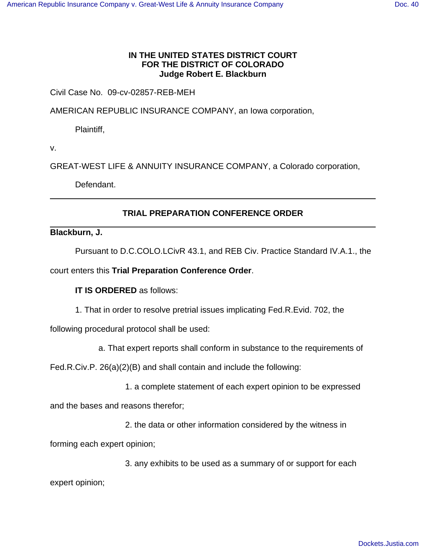## **IN THE UNITED STATES DISTRICT COURT FOR THE DISTRICT OF COLORADO Judge Robert E. Blackburn**

## Civil Case No. 09-cv-02857-REB-MEH

AMERICAN REPUBLIC INSURANCE COMPANY, an Iowa corporation,

Plaintiff,

v.

GREAT-WEST LIFE & ANNUITY INSURANCE COMPANY, a Colorado corporation,

Defendant.

## **TRIAL PREPARATION CONFERENCE ORDER**

## **Blackburn, J.**

Pursuant to D.C.COLO.LCivR 43.1, and REB Civ. Practice Standard IV.A.1., the

court enters this **Trial Preparation Conference Order**.

**IT IS ORDERED** as follows:

1. That in order to resolve pretrial issues implicating Fed.R.Evid. 702, the

following procedural protocol shall be used:

a. That expert reports shall conform in substance to the requirements of

Fed.R.Civ.P. 26(a)(2)(B) and shall contain and include the following:

1. a complete statement of each expert opinion to be expressed

and the bases and reasons therefor;

2. the data or other information considered by the witness in

forming each expert opinion;

3. any exhibits to be used as a summary of or support for each

expert opinion;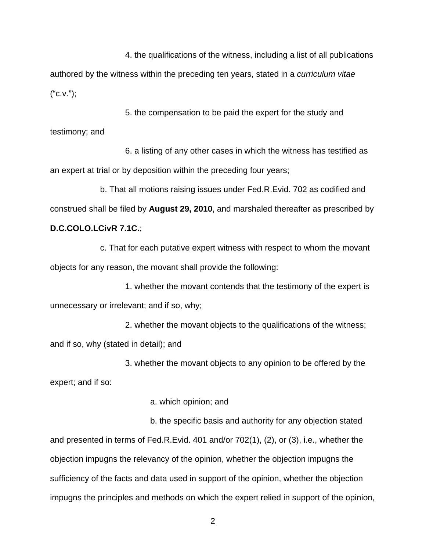4. the qualifications of the witness, including a list of all publications authored by the witness within the preceding ten years, stated in a curriculum vitae  $("C.V.");$ 

5. the compensation to be paid the expert for the study and testimony; and

6. a listing of any other cases in which the witness has testified as an expert at trial or by deposition within the preceding four years;

b. That all motions raising issues under Fed.R.Evid. 702 as codified and construed shall be filed by **August 29, 2010**, and marshaled thereafter as prescribed by **D.C.COLO.LCivR 7.1C.**;

c. That for each putative expert witness with respect to whom the movant objects for any reason, the movant shall provide the following:

1. whether the movant contends that the testimony of the expert is unnecessary or irrelevant; and if so, why;

2. whether the movant objects to the qualifications of the witness; and if so, why (stated in detail); and

3. whether the movant objects to any opinion to be offered by the

expert; and if so:

a. which opinion; and

b. the specific basis and authority for any objection stated and presented in terms of Fed.R.Evid. 401 and/or 702(1), (2), or (3), i.e., whether the objection impugns the relevancy of the opinion, whether the objection impugns the sufficiency of the facts and data used in support of the opinion, whether the objection impugns the principles and methods on which the expert relied in support of the opinion,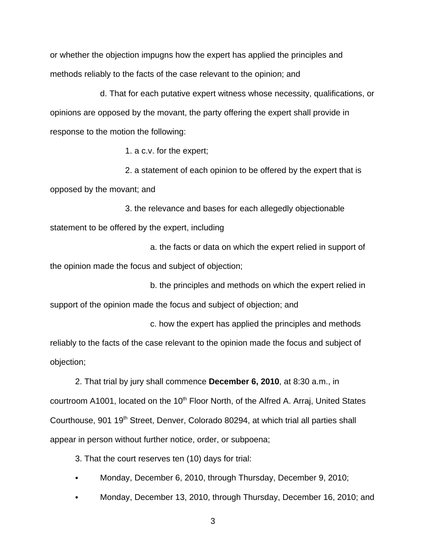or whether the objection impugns how the expert has applied the principles and methods reliably to the facts of the case relevant to the opinion; and

d. That for each putative expert witness whose necessity, qualifications, or opinions are opposed by the movant, the party offering the expert shall provide in response to the motion the following:

1. a c.v. for the expert;

2. a statement of each opinion to be offered by the expert that is opposed by the movant; and

3. the relevance and bases for each allegedly objectionable statement to be offered by the expert, including

a. the facts or data on which the expert relied in support of the opinion made the focus and subject of objection;

b. the principles and methods on which the expert relied in support of the opinion made the focus and subject of objection; and

c. how the expert has applied the principles and methods reliably to the facts of the case relevant to the opinion made the focus and subject of objection;

2. That trial by jury shall commence **December 6, 2010**, at 8:30 a.m., in courtroom A1001, located on the 10<sup>th</sup> Floor North, of the Alfred A. Arraj, United States Courthouse, 901 19<sup>th</sup> Street, Denver, Colorado 80294, at which trial all parties shall appear in person without further notice, order, or subpoena;

3. That the court reserves ten (10) days for trial:

- Monday, December 6, 2010, through Thursday, December 9, 2010;
- Monday, December 13, 2010, through Thursday, December 16, 2010; and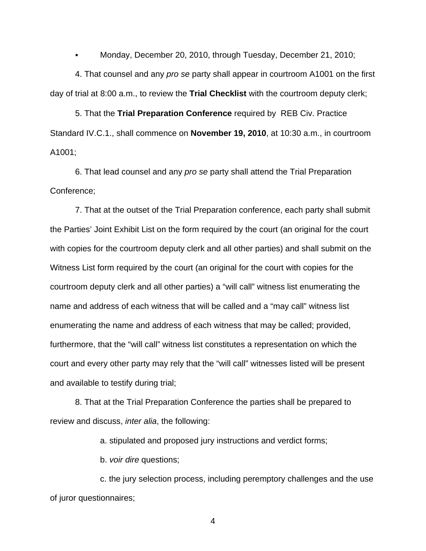Monday, December 20, 2010, through Tuesday, December 21, 2010;

4. That counsel and any pro se party shall appear in courtroom A1001 on the first day of trial at 8:00 a.m., to review the **Trial Checklist** with the courtroom deputy clerk;

5. That the **Trial Preparation Conference** required by REB Civ. Practice Standard IV.C.1., shall commence on **November 19, 2010**, at 10:30 a.m., in courtroom A1001;

6. That lead counsel and any pro se party shall attend the Trial Preparation Conference;

7. That at the outset of the Trial Preparation conference, each party shall submit the Parties' Joint Exhibit List on the form required by the court (an original for the court with copies for the courtroom deputy clerk and all other parties) and shall submit on the Witness List form required by the court (an original for the court with copies for the courtroom deputy clerk and all other parties) a "will call" witness list enumerating the name and address of each witness that will be called and a "may call" witness list enumerating the name and address of each witness that may be called; provided, furthermore, that the "will call" witness list constitutes a representation on which the court and every other party may rely that the "will call" witnesses listed will be present and available to testify during trial;

8. That at the Trial Preparation Conference the parties shall be prepared to review and discuss, inter alia, the following:

a. stipulated and proposed jury instructions and verdict forms;

b. voir dire questions;

c. the jury selection process, including peremptory challenges and the use of juror questionnaires;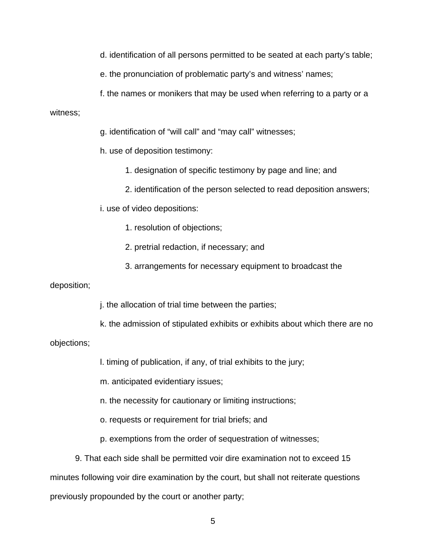d. identification of all persons permitted to be seated at each party's table;

e. the pronunciation of problematic party's and witness' names;

f. the names or monikers that may be used when referring to a party or a

witness;

g. identification of "will call" and "may call" witnesses;

h. use of deposition testimony:

1. designation of specific testimony by page and line; and

2. identification of the person selected to read deposition answers;

i. use of video depositions:

1. resolution of objections;

- 2. pretrial redaction, if necessary; and
- 3. arrangements for necessary equipment to broadcast the

deposition;

j. the allocation of trial time between the parties;

k. the admission of stipulated exhibits or exhibits about which there are no

objections;

l. timing of publication, if any, of trial exhibits to the jury;

m. anticipated evidentiary issues;

n. the necessity for cautionary or limiting instructions;

o. requests or requirement for trial briefs; and

p. exemptions from the order of sequestration of witnesses;

9. That each side shall be permitted voir dire examination not to exceed 15 minutes following voir dire examination by the court, but shall not reiterate questions previously propounded by the court or another party;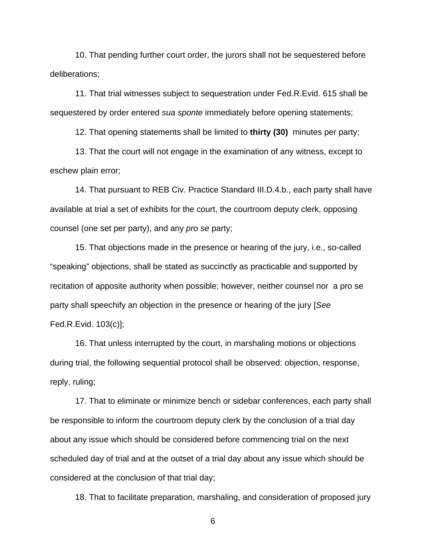10. That pending further court order, the jurors shall not be sequestered before deliberations;

11. That trial witnesses subject to sequestration under Fed.R.Evid. 615 shall be sequestered by order entered sua sponte immediately before opening statements;

12. That opening statements shall be limited to **thirty (30)** minutes per party;

13. That the court will not engage in the examination of any witness, except to eschew plain error;

14. That pursuant to REB Civ. Practice Standard III.D.4.b., each party shall have available at trial a set of exhibits for the court, the courtroom deputy clerk, opposing counsel (one set per party), and any pro se party;

15. That objections made in the presence or hearing of the jury, i.e., so-called "speaking" objections, shall be stated as succinctly as practicable and supported by recitation of apposite authority when possible; however, neither counsel nor a pro se party shall speechify an objection in the presence or hearing of the jury [See Fed.R.Evid. 103(c)];

16. That unless interrupted by the court, in marshaling motions or objections during trial, the following sequential protocol shall be observed: objection, response, reply, ruling;

17. That to eliminate or minimize bench or sidebar conferences, each party shall be responsible to inform the courtroom deputy clerk by the conclusion of a trial day about any issue which should be considered before commencing trial on the next scheduled day of trial and at the outset of a trial day about any issue which should be considered at the conclusion of that trial day;

18. That to facilitate preparation, marshaling, and consideration of proposed jury